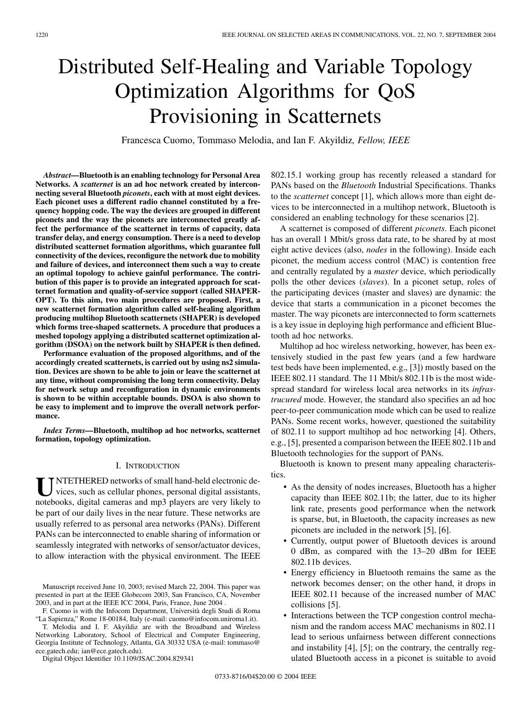# Distributed Self-Healing and Variable Topology Optimization Algorithms for QoS Provisioning in Scatternets

Francesca Cuomo, Tommaso Melodia, and Ian F. Akyildiz*, Fellow, IEEE*

*Abstract—***Bluetooth is an enabling technology for Personal Area Networks. A** *scatternet* **is an ad hoc network created by interconnecting several Bluetooth** *piconets***, each with at most eight devices. Each piconet uses a different radio channel constituted by a frequency hopping code. The way the devices are grouped in different piconets and the way the piconets are interconnected greatly affect the performance of the scatternet in terms of capacity, data transfer delay, and energy consumption. There is a need to develop distributed scatternet formation algorithms, which guarantee full connectivity of the devices, reconfigure the network due to mobility and failure of devices, and interconnect them such a way to create an optimal topology to achieve gainful performance. The contribution of this paper is to provide an integrated approach for scatternet formation and quality-of-service support (called SHAPER-OPT). To this aim, two main procedures are proposed. First, a new scatternet formation algorithm called self-healing algorithm producing multihop Bluetooth scatternets (SHAPER) is developed which forms tree-shaped scatternets. A procedure that produces a meshed topology applying a distributed scatternet optimization algorithm (DSOA) on the network built by SHAPER is then defined.**

**Performance evaluation of the proposed algorithms, and of the accordingly created scatternets, is carried out by using ns2 simulation. Devices are shown to be able to join or leave the scatternet at any time, without compromising the long term connectivity. Delay for network setup and reconfiguration in dynamic environments is shown to be within acceptable bounds. DSOA is also shown to be easy to implement and to improve the overall network performance.**

*Index Terms—***Bluetooth, multihop ad hoc networks, scatternet formation, topology optimization.**

## I. INTRODUCTION

UNTETHERED networks of small hand-held electronic de-<br>vices, such as cellular phones, personal digital assistants, notebooks, digital cameras and mp3 players are very likely to be part of our daily lives in the near future. These networks are usually referred to as personal area networks (PANs). Different PANs can be interconnected to enable sharing of information or seamlessly integrated with networks of sensor/actuator devices, to allow interaction with the physical environment. The IEEE

F. Cuomo is with the Infocom Department, Università degli Studi di Roma "La Sapienza," Rome 18-00184, Italy (e-mail: cuomo@infocom.uniroma1.it).

T. Melodia and I. F. Akyildiz are with the Broadband and Wireless Networking Laboratory, School of Electrical and Computer Engineering, Georgia Institute of Technology, Atlanta, GA 30332 USA (e-mail: tommaso@ ece.gatech.edu; ian@ece.gatech.edu).

Digital Object Identifier 10.1109/JSAC.2004.829341

802.15.1 working group has recently released a standard for PANs based on the *Bluetooth* Industrial Specifications. Thanks to the *scatternet* concept [[1\]](#page-15-0), which allows more than eight devices to be interconnected in a multihop network, Bluetooth is considered an enabling technology for these scenarios [[2\]](#page-15-0).

A scatternet is composed of different *piconets*. Each piconet has an overall 1 Mbit/s gross data rate, to be shared by at most eight active devices (also, *nodes* in the following). Inside each piconet, the medium access control (MAC) is contention free and centrally regulated by a *master* device, which periodically polls the other devices (*slaves*). In a piconet setup, roles of the participating devices (master and slaves) are dynamic: the device that starts a communication in a piconet becomes the master. The way piconets are interconnected to form scatternets is a key issue in deploying high performance and efficient Bluetooth ad hoc networks.

Multihop ad hoc wireless networking, however, has been extensively studied in the past few years (and a few hardware test beds have been implemented, e.g., [[3\]](#page-15-0)) mostly based on the IEEE 802.11 standard. The 11 Mbit/s 802.11b is the most widespread standard for wireless local area networks in its *infrastrucured* mode. However, the standard also specifies an ad hoc peer-to-peer communication mode which can be used to realize PANs. Some recent works, however, questioned the suitability of 802.11 to support multihop ad hoc networking [[4\]](#page-15-0). Others, e.g., [[5\]](#page-15-0), presented a comparison between the IEEE 802.11b and Bluetooth technologies for the support of PANs.

Bluetooth is known to present many appealing characteristics.

- As the density of nodes increases, Bluetooth has a higher capacity than IEEE 802.11b; the latter, due to its higher link rate, presents good performance when the network is sparse, but, in Bluetooth, the capacity increases as new piconets are included in the network [\[5](#page-15-0)], [[6\]](#page-15-0).
- Currently, output power of Bluetooth devices is around 0 dBm, as compared with the 13–20 dBm for IEEE 802.11b devices.
- Energy efficiency in Bluetooth remains the same as the network becomes denser; on the other hand, it drops in IEEE 802.11 because of the increased number of MAC collisions [\[5](#page-15-0)].
- Interactions between the TCP congestion control mechanism and the random access MAC mechanisms in 802.11 lead to serious unfairness between different connections and instability [\[4](#page-15-0)], [\[5](#page-15-0)]; on the contrary, the centrally regulated Bluetooth access in a piconet is suitable to avoid

Manuscript received June 10, 2003; revised March 22, 2004. This paper was presented in part at the IEEE Globecom 2003, San Francisco, CA, November 2003, and in part at the IEEE ICC 2004, Paris, France, June 2004 .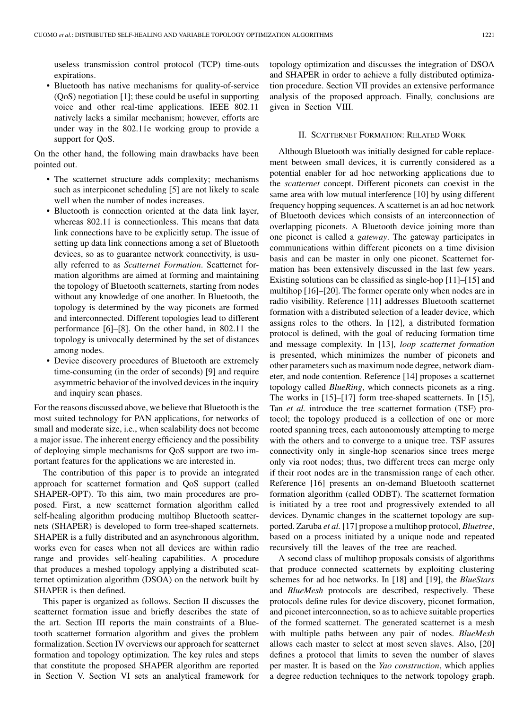useless transmission control protocol (TCP) time-outs expirations.

• Bluetooth has native mechanisms for quality-of-service (QoS) negotiation [\[1](#page-15-0)]; these could be useful in supporting voice and other real-time applications. IEEE 802.11 natively lacks a similar mechanism; however, efforts are under way in the 802.11e working group to provide a support for QoS.

On the other hand, the following main drawbacks have been pointed out.

- The scatternet structure adds complexity; mechanisms such as interpiconet scheduling [\[5](#page-15-0)] are not likely to scale well when the number of nodes increases.
- Bluetooth is connection oriented at the data link layer, whereas 802.11 is connectionless. This means that data link connections have to be explicitly setup. The issue of setting up data link connections among a set of Bluetooth devices, so as to guarantee network connectivity, is usually referred to as *Scatternet Formation*. Scatternet formation algorithms are aimed at forming and maintaining the topology of Bluetooth scatternets, starting from nodes without any knowledge of one another. In Bluetooth, the topology is determined by the way piconets are formed and interconnected. Different topologies lead to different performance [\[6](#page-15-0)]–[[8\]](#page-15-0). On the other hand, in 802.11 the topology is univocally determined by the set of distances among nodes.
- Device discovery procedures of Bluetooth are extremely time-consuming (in the order of seconds) [[9\]](#page-15-0) and require asymmetric behavior of the involved devices in the inquiry and inquiry scan phases.

For the reasons discussed above, we believe that Bluetooth is the most suited technology for PAN applications, for networks of small and moderate size, i.e., when scalability does not become a major issue. The inherent energy efficiency and the possibility of deploying simple mechanisms for QoS support are two important features for the applications we are interested in.

The contribution of this paper is to provide an integrated approach for scatternet formation and QoS support (called SHAPER-OPT). To this aim, two main procedures are proposed. First, a new scatternet formation algorithm called self-healing algorithm producing multihop Bluetooth scatternets (SHAPER) is developed to form tree-shaped scatternets. SHAPER is a fully distributed and an asynchronous algorithm, works even for cases when not all devices are within radio range and provides self-healing capabilities. A procedure that produces a meshed topology applying a distributed scatternet optimization algorithm (DSOA) on the network built by SHAPER is then defined.

This paper is organized as follows. Section II discusses the scatternet formation issue and briefly describes the state of the art. Section III reports the main constraints of a Bluetooth scatternet formation algorithm and gives the problem formalization. Section IV overviews our approach for scatternet formation and topology optimization. The key rules and steps that constitute the proposed SHAPER algorithm are reported in Section V. Section VI sets an analytical framework for

topology optimization and discusses the integration of DSOA and SHAPER in order to achieve a fully distributed optimization procedure. Section VII provides an extensive performance analysis of the proposed approach. Finally, conclusions are given in Section VIII.

## II. SCATTERNET FORMATION: RELATED WORK

Although Bluetooth was initially designed for cable replacement between small devices, it is currently considered as a potential enabler for ad hoc networking applications due to the *scatternet* concept. Different piconets can coexist in the same area with low mutual interference [\[10](#page-15-0)] by using different frequency hopping sequences. A scatternet is an ad hoc network of Bluetooth devices which consists of an interconnection of overlapping piconets. A Bluetooth device joining more than one piconet is called a *gateway*. The gateway participates in communications within different piconets on a time division basis and can be master in only one piconet. Scatternet formation has been extensively discussed in the last few years. Existing solutions can be classified as single-hop [[11\]](#page-15-0)–[\[15](#page-15-0)] and multihop [[16\]](#page-15-0)–[\[20](#page-16-0)]. The former operate only when nodes are in radio visibility. Reference [[11\]](#page-15-0) addresses Bluetooth scatternet formation with a distributed selection of a leader device, which assigns roles to the others. In [\[12](#page-15-0)], a distributed formation protocol is defined, with the goal of reducing formation time and message complexity. In [\[13](#page-15-0)], *loop scatternet formation* is presented, which minimizes the number of piconets and other parameters such as maximum node degree, network diameter, and node contention. Reference [\[14](#page-15-0)] proposes a scatternet topology called *BlueRing*, which connects piconets as a ring. The works in [\[15](#page-15-0)]–[\[17](#page-16-0)] form tree-shaped scatternets. In [\[15](#page-15-0)], Tan *et al.* introduce the tree scatternet formation (TSF) protocol; the topology produced is a collection of one or more rooted spanning trees, each autonomously attempting to merge with the others and to converge to a unique tree. TSF assures connectivity only in single-hop scenarios since trees merge only via root nodes; thus, two different trees can merge only if their root nodes are in the transmission range of each other. Reference [[16\]](#page-15-0) presents an on-demand Bluetooth scatternet formation algorithm (called ODBT). The scatternet formation is initiated by a tree root and progressively extended to all devices. Dynamic changes in the scatternet topology are supported. Zaruba *et al.* [[17\]](#page-16-0) propose a multihop protocol, *Bluetree*, based on a process initiated by a unique node and repeated recursively till the leaves of the tree are reached.

A second class of multihop proposals consists of algorithms that produce connected scatternets by exploiting clustering schemes for ad hoc networks. In [\[18](#page-16-0)] and [[19\]](#page-16-0), the *BlueStars* and *BlueMesh* protocols are described, respectively. These protocols define rules for device discovery, piconet formation, and piconet interconnection, so as to achieve suitable properties of the formed scatternet. The generated scatternet is a mesh with multiple paths between any pair of nodes. *BlueMesh* allows each master to select at most seven slaves. Also, [[20\]](#page-16-0) defines a protocol that limits to seven the number of slaves per master. It is based on the *Yao construction*, which applies a degree reduction techniques to the network topology graph.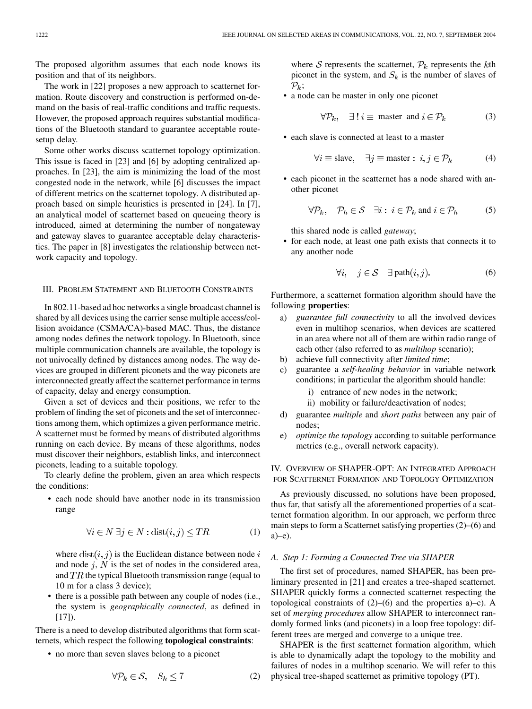The proposed algorithm assumes that each node knows its position and that of its neighbors.

The work in [[22\]](#page-16-0) proposes a new approach to scatternet formation. Route discovery and construction is performed on-demand on the basis of real-traffic conditions and traffic requests. However, the proposed approach requires substantial modifications of the Bluetooth standard to guarantee acceptable routesetup delay.

Some other works discuss scatternet topology optimization. This issue is faced in [[23\]](#page-16-0) and [[6\]](#page-15-0) by adopting centralized approaches. In [[23\]](#page-16-0), the aim is minimizing the load of the most congested node in the network, while [\[6](#page-15-0)] discusses the impact of different metrics on the scatternet topology. A distributed approach based on simple heuristics is presented in [\[24\]](#page-16-0). In [[7\]](#page-15-0), an analytical model of scatternet based on queueing theory is introduced, aimed at determining the number of nongateway and gateway slaves to guarantee acceptable delay characteristics. The paper in [\[8](#page-15-0)] investigates the relationship between network capacity and topology.

## III. PROBLEM STATEMENT AND BLUETOOTH CONSTRAINTS

In 802.11-based ad hoc networks a single broadcast channel is shared by all devices using the carrier sense multiple access/collision avoidance (CSMA/CA)-based MAC. Thus, the distance among nodes defines the network topology. In Bluetooth, since multiple communication channels are available, the topology is not univocally defined by distances among nodes. The way devices are grouped in different piconets and the way piconets are interconnected greatly affect the scatternet performance in terms of capacity, delay and energy consumption.

Given a set of devices and their positions, we refer to the problem of finding the set of piconets and the set of interconnections among them, which optimizes a given performance metric. A scatternet must be formed by means of distributed algorithms running on each device. By means of these algorithms, nodes must discover their neighbors, establish links, and interconnect piconets, leading to a suitable topology.

To clearly define the problem, given an area which respects the conditions:

• each node should have another node in its transmission range

$$
\forall i \in N \,\exists j \in N : \text{dist}(i, j) \leq TR \tag{1}
$$

where  $dist(i, j)$  is the Euclidean distance between node i and node  $j$ ,  $N$  is the set of nodes in the considered area, and  $TR$  the typical Bluetooth transmission range (equal to 10 m for a class 3 device);

• there is a possible path between any couple of nodes (i.e., the system is *geographically connected*, as defined in  $[17]$  $[17]$ ).

There is a need to develop distributed algorithms that form scatternets, which respect the following **topological constraints**:

• no more than seven slaves belong to a piconet

$$
\forall \mathcal{P}_k \in \mathcal{S}, \quad S_k \le 7 \tag{2}
$$

where S represents the scatternet,  $\mathcal{P}_k$  represents the kth piconet in the system, and  $S_k$  is the number of slaves of  $\mathcal{P}_k$ ;

• a node can be master in only one piconet

$$
\forall \mathcal{P}_k, \quad \exists \exists \ i \equiv \text{master and } i \in \mathcal{P}_k \tag{3}
$$

• each slave is connected at least to a master

$$
\forall i \equiv \text{slave}, \quad \exists j \equiv \text{master} : i, j \in \mathcal{P}_k \tag{4}
$$

• each piconet in the scatternet has a node shared with another piconet

$$
\forall \mathcal{P}_k, \quad \mathcal{P}_h \in \mathcal{S} \quad \exists i: \ i \in \mathcal{P}_k \text{ and } i \in \mathcal{P}_h \tag{5}
$$

this shared node is called *gateway*;

• for each node, at least one path exists that connects it to any another node

$$
\forall i, \quad j \in \mathcal{S} \quad \exists \ \text{path}(i, j). \tag{6}
$$

Furthermore, a scatternet formation algorithm should have the following **properties**:

- a) *guarantee full connectivity* to all the involved devices even in multihop scenarios, when devices are scattered in an area where not all of them are within radio range of each other (also referred to as *multihop* scenario);
- b) achieve full connectivity after *limited time*;
- c) guarantee a *self-healing behavior* in variable network conditions; in particular the algorithm should handle:
	- i) entrance of new nodes in the network;
	- ii) mobility or failure/deactivation of nodes;
- d) guarantee *multiple* and *short paths* between any pair of nodes;
- e) *optimize the topology* according to suitable performance metrics (e.g., overall network capacity).

IV. OVERVIEW OF SHAPER-OPT: AN INTEGRATED APPROACH FOR SCATTERNET FORMATION AND TOPOLOGY OPTIMIZATION

As previously discussed, no solutions have been proposed, thus far, that satisfy all the aforementioned properties of a scatternet formation algorithm. In our approach, we perform three main steps to form a Scatternet satisfying properties (2)–(6) and a)–e).

#### *A. Step 1: Forming a Connected Tree via SHAPER*

The first set of procedures, named SHAPER, has been preliminary presented in [[21\]](#page-16-0) and creates a tree-shaped scatternet. SHAPER quickly forms a connected scatternet respecting the topological constraints of  $(2)$ – $(6)$  and the properties a)–c). A set of *merging procedures* allow SHAPER to interconnect randomly formed links (and piconets) in a loop free topology: different trees are merged and converge to a unique tree.

SHAPER is the first scatternet formation algorithm, which is able to dynamically adapt the topology to the mobility and failures of nodes in a multihop scenario. We will refer to this physical tree-shaped scatternet as primitive topology (PT).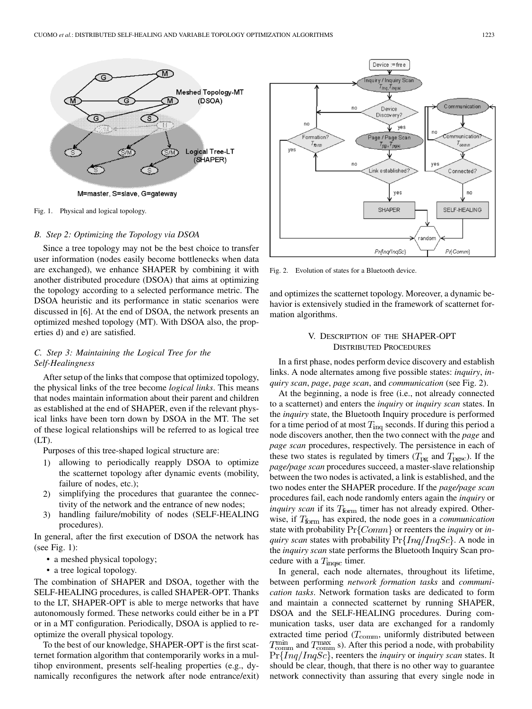

Fig. 1. Physical and logical topology.

### *B. Step 2: Optimizing the Topology via DSOA*

Since a tree topology may not be the best choice to transfer user information (nodes easily become bottlenecks when data are exchanged), we enhance SHAPER by combining it with another distributed procedure (DSOA) that aims at optimizing the topology according to a selected performance metric. The DSOA heuristic and its performance in static scenarios were discussed in [[6\]](#page-15-0). At the end of DSOA, the network presents an optimized meshed topology (MT). With DSOA also, the properties d) and e) are satisfied.

# *C. Step 3: Maintaining the Logical Tree for the Self-Healingness*

After setup of the links that compose that optimized topology, the physical links of the tree become *logical links*. This means that nodes maintain information about their parent and children as established at the end of SHAPER, even if the relevant physical links have been torn down by DSOA in the MT. The set of these logical relationships will be referred to as logical tree (LT).

Purposes of this tree-shaped logical structure are:

- 1) allowing to periodically reapply DSOA to optimize the scatternet topology after dynamic events (mobility, failure of nodes, etc.);
- 2) simplifying the procedures that guarantee the connectivity of the network and the entrance of new nodes;
- 3) handling failure/mobility of nodes (SELF-HEALING procedures).

In general, after the first execution of DSOA the network has (see Fig. 1):

- a meshed physical topology;
- a tree logical topology.

The combination of SHAPER and DSOA, together with the SELF-HEALING procedures, is called SHAPER-OPT. Thanks to the LT, SHAPER-OPT is able to merge networks that have autonomously formed. These networks could either be in a PT or in a MT configuration. Periodically, DSOA is applied to reoptimize the overall physical topology.

To the best of our knowledge, SHAPER-OPT is the first scatternet formation algorithm that contemporarily works in a multihop environment, presents self-healing properties (e.g., dynamically reconfigures the network after node entrance/exit)



Fig. 2. Evolution of states for a Bluetooth device.

and optimizes the scatternet topology. Moreover, a dynamic behavior is extensively studied in the framework of scatternet formation algorithms.

# V. DESCRIPTION OF THE SHAPER-OPT DISTRIBUTED PROCEDURES

In a first phase, nodes perform device discovery and establish links. A node alternates among five possible states: *inquiry*, *inquiry scan*, *page*, *page scan*, and *communication* (see Fig. 2).

At the beginning, a node is free (i.e., not already connected to a scatternet) and enters the *inquiry* or *inquiry scan* states. In the *inquiry* state, the Bluetooth Inquiry procedure is performed for a time period of at most  $T_{\text{in}q}$  seconds. If during this period a node discovers another, then the two connect with the *page* and *page scan* procedures, respectively. The persistence in each of these two states is regulated by timers ( $T_{pg}$  and  $T_{pgsc}$ ). If the *page/page scan* procedures succeed, a master-slave relationship between the two nodes is activated, a link is established, and the two nodes enter the SHAPER procedure. If the *page/page scan* procedures fail, each node randomly enters again the *inquiry* or *inquiry scan* if its  $T_{\text{form}}$  timer has not already expired. Otherwise, if  $T_{\text{form}}$  has expired, the node goes in a *communication* state with probability  $Pr{Comm}$  or reenters the *inquiry* or *inquiry scan* states with probability  $\Pr\{Inq/InqSc\}$ . A node in the *inquiry scan* state performs the Bluetooth Inquiry Scan procedure with a  $T_{\text{inqsc}}$  timer.

In general, each node alternates, throughout its lifetime, between performing *network formation tasks* and *communication tasks*. Network formation tasks are dedicated to form and maintain a connected scatternet by running SHAPER, DSOA and the SELF-HEALING procedures. During communication tasks, user data are exchanged for a randomly extracted time period  $(T_{\text{comm}})$ , uniformly distributed between  $T_{\text{comm}}^{\text{min}}$  and  $T_{\text{comm}}^{\text{max}}$  s). After this period a node, with probability  $\Pr\{Inq/IngSc\}$ , reenters the *inquiry* or *inquiry scan* states. It should be clear, though, that there is no other way to guarantee network connectivity than assuring that every single node in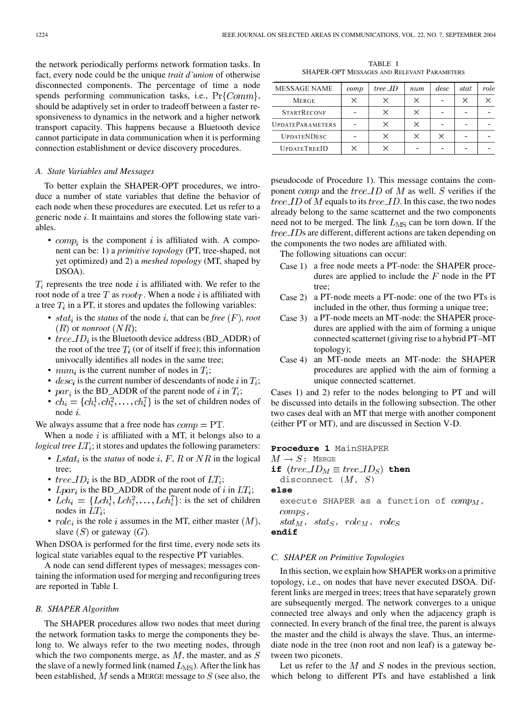the network periodically performs network formation tasks. In fact, every node could be the unique *trait d'union* of otherwise disconnected components. The percentage of time a node spends performing communication tasks, i.e.,  $Pr{Comm}$ , should be adaptively set in order to tradeoff between a faster responsiveness to dynamics in the network and a higher network transport capacity. This happens because a Bluetooth device cannot participate in data communication when it is performing connection establishment or device discovery procedures.

#### *A. State Variables and Messages*

To better explain the SHAPER-OPT procedures, we introduce a number of state variables that define the behavior of each node when these procedures are executed. Let us refer to a generic node  $i$ . It maintains and stores the following state variables.

•  $comp<sub>i</sub>$  is the component i is affiliated with. A component can be: 1) a *primitive topology* (PT, tree-shaped, not yet optimized) and 2) a *meshed topology* (MT, shaped by DSOA).

 $T_i$  represents the tree node i is affiliated with. We refer to the root node of a tree T as  $root_T$ . When a node i is affiliated with a tree  $T_i$  in a PT, it stores and updates the following variables:

- $stat_i$  is the *status* of the node i, that can be *free*  $(F)$ , *root*  $(R)$  or *nonroot*  $(NR)$ ;
- $tree\_ID_i$  is the Bluetooth device address (BD\_ADDR) of the root of the tree  $T_i$  (or of itself if free); this information univocally identifies all nodes in the same tree;
- $num_i$  is the current number of nodes in  $T_i$ ;
- $desc_i$  is the current number of descendants of node i in  $T_i$ ;
- $par_i$  is the BD\_ADDR of the parent node of i in  $T_i$ ;
- $ch_i = \{ch_i^1, ch_i^2, \dots, ch_i^7\}$  is the set of children nodes of node i.

We always assume that a free node has  $comp = PT$ .

When a node  $i$  is affiliated with a MT, it belongs also to a *logical tree*  $LT_i$ ; it stores and updates the following parameters:

- Lstat<sub>i</sub> is the *status* of node  $i, F, R$  or  $NR$  in the logical tree;
- *tree*  $ID_i$  is the BD\_ADDR of the root of  $LT_i$ ;
- $Lpar_i$  is the BD\_ADDR of the parent node of i in  $LT_i$ ;
- $Lch_i = \{Lch_i^1, Lch_i^2, \ldots, Lch_i^7\}$ : is the set of children nodes in  $LT_i$ ;
- $role_i$  is the role i assumes in the MT, either master  $(M)$ , slave  $(S)$  or gateway  $(G)$ .

When DSOA is performed for the first time, every node sets its logical state variables equal to the respective PT variables.

A node can send different types of messages; messages containing the information used for merging and reconfiguring trees are reported in Table I.

## *B. SHAPER Algorithm*

The SHAPER procedures allow two nodes that meet during the network formation tasks to merge the components they belong to. We always refer to the two meeting nodes, through which the two components merge, as  $M$ , the master, and as  $S$ the slave of a newly formed link (named  $L_{\text{MS}}$ ). After the link has been established,  $M$  sends a MERGE message to  $S$  (see also, the

TABLE I SHAPER-OPT MESSAGES AND RELEVANT PARAMETERS

| MESSAGE NAME            | comp | tree _ID | num         | desc | stat | role |
|-------------------------|------|----------|-------------|------|------|------|
| <b>MERGE</b>            |      | ×        | $\check{ }$ |      | ⊻    |      |
| <b>STARTRECONF</b>      |      | ×        |             |      |      |      |
| <b>UPDATEPARAMETERS</b> |      | ×        |             |      |      |      |
| <b>UPDATENDESC</b>      |      | ×        |             |      |      |      |
| <b>UPDATETREEID</b>     |      |          |             |      |      |      |

pseudocode of Procedure 1). This message contains the component *comp* and the *tree ID* of M as well. S verifies if the  $tree\_ID$  of M equals to its  $tree\_ID$ . In this case, the two nodes already belong to the same scatternet and the two components need not to be merged. The link  $L_{\text{MS}}$  can be torn down. If the  $tree\text{-}IDs$  are different, different actions are taken depending on the components the two nodes are affiliated with.

The following situations can occur:

- Case 1) a free node meets a PT-node: the SHAPER procedures are applied to include the  $F$  node in the PT tree;
- Case 2) a PT-node meets a PT-node: one of the two PTs is included in the other, thus forming a unique tree;
- Case 3) a PT-node meets an MT-node: the SHAPER procedures are applied with the aim of forming a unique connected scatternet (giving rise to a hybrid PT–MT topology);
- Case 4) an MT-node meets an MT-node: the SHAPER procedures are applied with the aim of forming a unique connected scatternet.

Cases 1) and 2) refer to the nodes belonging to PT and will be discussed into details in the following subsection. The other two cases deal with an MT that merge with another component (either PT or MT), and are discussed in Section V-D.

## **Procedure 1** MainSHAPER

 $M \to S$ : MERGE

**if**  $(tree\_ID_M \equiv tree\_ID_S)$  then

disconnect  $(M, S)$ 

**else**

execute SHAPER as a function of  $comp_M$ ,  $comps$ ,  $stat_M$ ,  $stat_S$ ,  $role_M$ ,  $role_S$ **endif**

#### *C. SHAPER on Primitive Topologies*

In this section, we explain how SHAPER works on a primitive topology, i.e., on nodes that have never executed DSOA. Different links are merged in trees; trees that have separately grown are subsequently merged. The network converges to a unique connected tree always and only when the adjacency graph is connected. In every branch of the final tree, the parent is always the master and the child is always the slave. Thus, an intermediate node in the tree (non root and non leaf) is a gateway between two piconets.

Let us refer to the  $M$  and  $S$  nodes in the previous section, which belong to different PTs and have established a link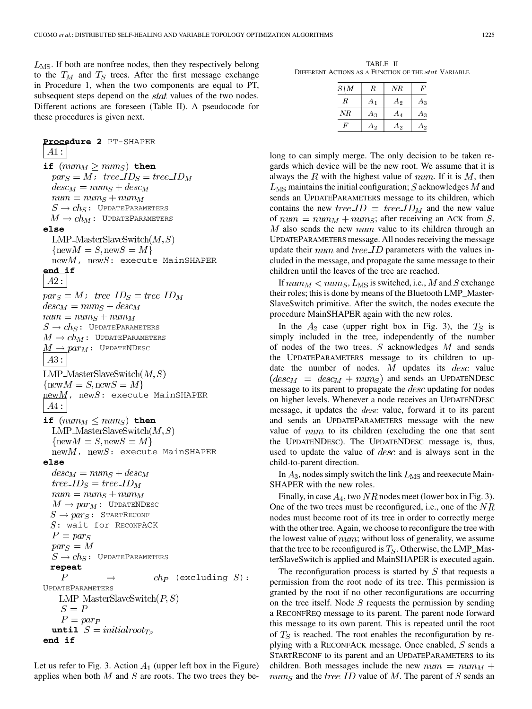$L_{\text{MS}}$ . If both are nonfree nodes, then they respectively belong to the  $T_M$  and  $T_S$  trees. After the first message exchange in Procedure 1, when the two components are equal to PT, subsequent steps depend on the *stat* values of the two nodes. Different actions are foreseen (Table II). A pseudocode for these procedures is given next.

**Procedure 2** PT-SHAPER  $A1$  : **if**  $(num_M \geq num_S)$  then  $par_S = M$ ; tree\_ $ID_S = tree\_ID_M$  $desc_M = num_S + desc_M$  $num = num_S + num_M$  $S \rightarrow ch_S$ : UPDATEPARAMETERS  $M \to ch_M$ : UPDATEPARAMETERS **else**  $LMP\_MasterSlaveSwitch(M, S)$  $\{\text{new}M = S, \text{new}S = M\}$  $newM$ ,  $newS:$  execute MainSHAPER **end if**  $A2:$  $par_S = M$ ;  $tree\_ID_S = tree\_ID_M$  $desc_M = num_S + desc_M$  $num = num_S + num_M$  $S \rightarrow ch_S$ : UPDATEPARAMETERS  $M \to ch_M$ : UpdateParameters  $M \rightarrow par_M \colon$  UpdateNDesc  $A3:$ LMP\_MasterSlaveSwitch $(M, S)$  $\{\text{new}M = S, \text{new}S = M\}$  $\overline{\text{newM}}$ ,  $\text{newS}:$  execute MainSHAPER  $A4$  : **if**  $(num_M \leq num_S)$  then LMP\_MasterSlaveSwitch $(M, S)$  $\{\text{new}M = S, \text{new}S = M\}$  $newM$ ,  $newS:$  execute MainSHAPER **else**  $desc_M = num_S + desc_M$  $tree\_ID_S = tree\_ID_M$  $num = num<sub>S</sub> + num<sub>M</sub>$  $M \rightarrow par_M$ : UPDATENDESC  $S \rightarrow par_S$ : STARTRECONF  $S:$  wait for RECONFACK  $P = par_S$  $par_S = M$  $S \to ch_S$ : UPDATEPARAMETERS **repeat**  $\boldsymbol{P}$  $ch_P$  (excluding  $S$ ): UPDATEPARAMETERS LMP\_MasterSlaveSwitch $(P, S)$  $S = P$  $P = par_P$ until  $S = initialroot_{Ts}$ **end if**

Let us refer to Fig. 3. Action  $A_1$  (upper left box in the Figure) applies when both  $M$  and  $S$  are roots. The two trees they be-

TABLE II DIFFERENT ACTIONS AS A FUNCTION OF THE stat VARIABLE

| $S\backslash M$ | R     | NR    | $\boldsymbol{F}$ |
|-----------------|-------|-------|------------------|
| R               | $A_1$ | $A_2$ | Aз               |
| NR              | $A_3$ | A4    | A3               |
| F               | А9    | A2    | Aэ               |

long to can simply merge. The only decision to be taken regards which device will be the new root. We assume that it is always the R with the highest value of  $num$ . If it is M, then  $L_{\text{MS}}$  maintains the initial configuration;  $S$  acknowledges  $M$  and sends an UPDATEPARAMETERS message to its children, which contains the new tree  $ID = tree\_ID_M$  and the new value of  $num = num<sub>M</sub> + num<sub>S</sub>$ ; after receiving an ACK from S,  $M$  also sends the new  $num$  value to its children through an UPDATEPARAMETERS message. All nodes receiving the message update their num and tree  $ID$  parameters with the values included in the message, and propagate the same message to their children until the leaves of the tree are reached.

If  $num_M < num_S, L_{MS}$  is switched, i.e., M and S exchange their roles; this is done by means of the Bluetooth LMP\_Master-SlaveSwitch primitive. After the switch, the nodes execute the procedure MainSHAPER again with the new roles.

In the  $A_2$  case (upper right box in Fig. 3), the  $T_S$  is simply included in the tree, independently of the number of nodes of the two trees.  $S$  acknowledges  $M$  and sends the UPDATEPARAMETERS message to its children to update the number of nodes.  $M$  updates its  $desc$  value  $\left( desc_M = desc_M + num_S \right)$  and sends an UPDATENDESC message to its parent to propagate the  $desc$  updating for nodes on higher levels. Whenever a node receives an UPDATENDESC message, it updates the  $desc$  value, forward it to its parent and sends an UPDATEPARAMETERS message with the new value of  $num$  to its children (excluding the one that sent the UPDATENDESC). The UPDATENDESC message is, thus, used to update the value of  $desc$  and is always sent in the child-to-parent direction.

In  $A_3$ , nodes simply switch the link  $L_{\text{MS}}$  and reexecute Main-SHAPER with the new roles.

Finally, in case  $A_4$ , two NR nodes meet (lower box in Fig. 3). One of the two trees must be reconfigured, i.e., one of the  $NR$ nodes must become root of its tree in order to correctly merge with the other tree. Again, we choose to reconfigure the tree with the lowest value of  $num$ ; without loss of generality, we assume that the tree to be reconfigured is  $T<sub>S</sub>$ . Otherwise, the LMP\_MasterSlaveSwitch is applied and MainSHAPER is executed again.

The reconfiguration process is started by  $S$  that requests a permission from the root node of its tree. This permission is granted by the root if no other reconfigurations are occurring on the tree itself. Node  $S$  requests the permission by sending a RECONFREQ message to its parent. The parent node forward this message to its own parent. This is repeated until the root of  $T<sub>S</sub>$  is reached. The root enables the reconfiguration by replying with a RECONFACK message. Once enabled,  $S$  sends a STARTRECONF to its parent and an UPDATEPARAMETERS to its children. Both messages include the new  $num = num<sub>M</sub> +$  $num_S$  and the tree ID value of M. The parent of S sends an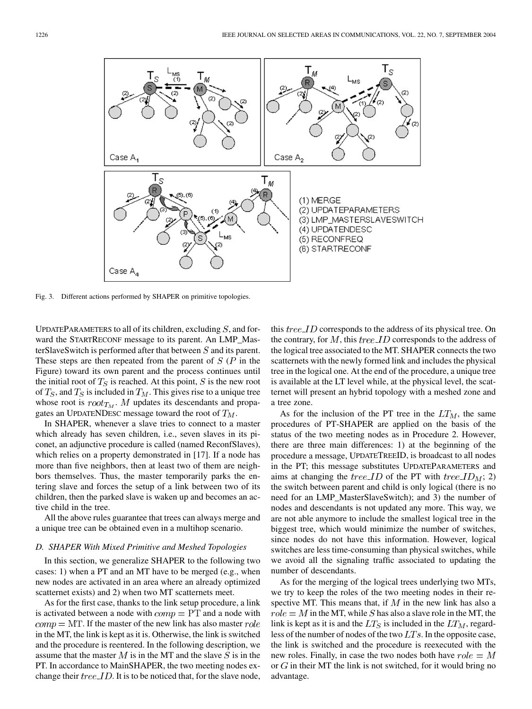

Fig. 3. Different actions performed by SHAPER on primitive topologies.

UPDATEPARAMETERS to all of its children, excluding  $S$ , and forward the STARTRECONF message to its parent. An LMP\_MasterSlaveSwitch is performed after that between  $S$  and its parent. These steps are then repeated from the parent of  $S(P)$  in the Figure) toward its own parent and the process continues until the initial root of  $T_S$  is reached. At this point, S is the new root of  $T_S$ , and  $T_S$  is included in  $T_M$ . This gives rise to a unique tree whose root is  $root_{T_M}$ . M updates its descendants and propagates an UPDATENDESC message toward the root of  $T_M$ .

In SHAPER, whenever a slave tries to connect to a master which already has seven children, i.e., seven slaves in its piconet, an adjunctive procedure is called (named ReconfSlaves), which relies on a property demonstrated in [\[17](#page-16-0)]. If a node has more than five neighbors, then at least two of them are neighbors themselves. Thus, the master temporarily parks the entering slave and forces the setup of a link between two of its children, then the parked slave is waken up and becomes an active child in the tree.

All the above rules guarantee that trees can always merge and a unique tree can be obtained even in a multihop scenario.

#### *D. SHAPER With Mixed Primitive and Meshed Topologies*

In this section, we generalize SHAPER to the following two cases: 1) when a PT and an MT have to be merged (e.g., when new nodes are activated in an area where an already optimized scatternet exists) and 2) when two MT scatternets meet.

As for the first case, thanks to the link setup procedure, a link is activated between a node with  $comp = PT$  and a node with  $comp = MT$ . If the master of the new link has also master  $role$ in the MT, the link is kept as it is. Otherwise, the link is switched and the procedure is reentered. In the following description, we assume that the master  $M$  is in the MT and the slave  $S$  is in the PT. In accordance to MainSHAPER, the two meeting nodes exchange their  $tree\_ID$ . It is to be noticed that, for the slave node,

this  $tree\_ID$  corresponds to the address of its physical tree. On the contrary, for  $M$ , this tree ID corresponds to the address of the logical tree associated to the MT. SHAPER connects the two scatternets with the newly formed link and includes the physical tree in the logical one. At the end of the procedure, a unique tree is available at the LT level while, at the physical level, the scatternet will present an hybrid topology with a meshed zone and a tree zone.

As for the inclusion of the PT tree in the  $LT_M$ , the same procedures of PT-SHAPER are applied on the basis of the status of the two meeting nodes as in Procedure 2. However, there are three main differences: 1) at the beginning of the procedure a message, UPDATETREEID, is broadcast to all nodes in the PT; this message substitutes UPDATEPARAMETERS and aims at changing the *tree. ID* of the PT with *tree. ID<sub>M</sub>*; 2) the switch between parent and child is only logical (there is no need for an LMP\_MasterSlaveSwitch); and 3) the number of nodes and descendants is not updated any more. This way, we are not able anymore to include the smallest logical tree in the biggest tree, which would minimize the number of switches, since nodes do not have this information. However, logical switches are less time-consuming than physical switches, while we avoid all the signaling traffic associated to updating the number of descendants.

As for the merging of the logical trees underlying two MTs, we try to keep the roles of the two meeting nodes in their respective MT. This means that, if  $M$  in the new link has also a  $role = M$  in the MT, while S has also a slave role in the MT, the link is kept as it is and the  $LT_S$  is included in the  $LT_M$ , regardless of the number of nodes of the two  $LTs$ . In the opposite case, the link is switched and the procedure is reexecuted with the new roles. Finally, in case the two nodes both have  $role = M$ or  $G$  in their MT the link is not switched, for it would bring no advantage.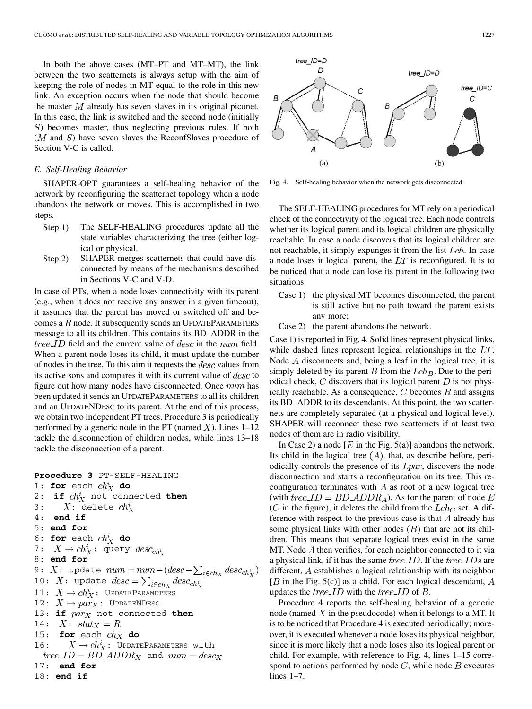In both the above cases (MT–PT and MT–MT), the link between the two scatternets is always setup with the aim of keeping the role of nodes in MT equal to the role in this new link. An exception occurs when the node that should become the master  $M$  already has seven slaves in its original piconet. In this case, the link is switched and the second node (initially ) becomes master, thus neglecting previous rules. If both  $(M$  and  $S)$  have seven slaves the ReconfSlaves procedure of Section V-C is called.

#### *E. Self-Healing Behavior*

SHAPER-OPT guarantees a self-healing behavior of the network by reconfiguring the scatternet topology when a node abandons the network or moves. This is accomplished in two steps.

- Step 1) The SELF-HEALING procedures update all the state variables characterizing the tree (either logical or physical.
- Step 2) SHAPER merges scatternets that could have disconnected by means of the mechanisms described in Sections V-C and V-D.

In case of PTs, when a node loses connectivity with its parent (e.g., when it does not receive any answer in a given timeout), it assumes that the parent has moved or switched off and becomes a  $R$  node. It subsequently sends an UPDATEPARAMETERS message to all its children. This contains its BD\_ADDR in the *tree. ID* field and the current value of *desc* in the *num* field. When a parent node loses its child, it must update the number of nodes in the tree. To this aim it requests the  $desc$  values from its active sons and compares it with its current value of  $desc$  to figure out how many nodes have disconnected. Once  $num$  has been updated it sends an UPDATEPARAMETERS to all its children and an UPDATENDESC to its parent. At the end of this process, we obtain two independent PT trees. Procedure 3 is periodically performed by a generic node in the PT (named  $X$ ). Lines 1–12 tackle the disconnection of children nodes, while lines 13–18 tackle the disconnection of a parent.

```
Procedure 3 PT-SELF-HEALING
1: for each ch_X^i do
2: if ch_X^i not connected then
3: X: delete ch_X^i4: end if
5: end for
6: for each ch_X^i do
7: X \to ch_X^i: query desc_{ch_X^i}8: end for
9: X: update num = num - (desc - \sum_{i \in ch_X} desc_{ch_X^i})10: X: update
11: X \to ch_X^i: UpdateParameters
12: X \rightarrow par_X: UPDATENDESC
13: if par_X not connected then
14: X: \text{stat}_X = R15: for each ch_X do
16: X \to ch_X^i: UPDATEPARAMETERS with
 tree\_ID = BD\_ADDR_X and num = desc_X17: end for
18: end if
```


Fig. 4. Self-healing behavior when the network gets disconnected.

The SELF-HEALING procedures for MT rely on a periodical check of the connectivity of the logical tree. Each node controls whether its logical parent and its logical children are physically reachable. In case a node discovers that its logical children are not reachable, it simply expunges it from the list  $Lch$ . In case a node loses it logical parent, the  $LT$  is reconfigured. It is to be noticed that a node can lose its parent in the following two situations:

- Case 1) the physical MT becomes disconnected, the parent is still active but no path toward the parent exists any more;
- Case 2) the parent abandons the network.

Case 1) is reported in Fig. 4. Solid lines represent physical links, while dashed lines represent logical relationships in the  $LT$ . Node  $A$  disconnects and, being a leaf in the logical tree, it is simply deleted by its parent B from the  $Lch_B$ . Due to the periodical check,  $C$  discovers that its logical parent  $D$  is not physically reachable. As a consequence,  $C$  becomes  $R$  and assigns its BD\_ADDR to its descendants. At this point, the two scatternets are completely separated (at a physical and logical level). SHAPER will reconnect these two scatternets if at least two nodes of them are in radio visibility.

In Case 2) a node [ $E$  in the Fig. 5(a)] abandons the network. Its child in the logical tree  $(A)$ , that, as describe before, periodically controls the presence of its  $Lpar$ , discovers the node disconnection and starts a reconfiguration on its tree. This reconfiguration terminates with  $A$  as root of a new logical tree (with  $tree\_ID = BD \_\mathit{ADDR}_A$ ). As for the parent of node E (C in the figure), it deletes the child from the  $Lch_C$  set. A difference with respect to the previous case is that  $A$  already has some physical links with other nodes  $(B)$  that are not its children. This means that separate logical trees exist in the same MT. Node  $A$  then verifies, for each neighbor connected to it via a physical link, if it has the same  $tree\_ID$ . If the  $tree\_IDs$  are different,  $A$  establishes a logical relationship with its neighbor  $[B$  in the Fig. 5(c)] as a child. For each logical descendant, A updates the *tree ID* with the *tree ID* of  $B$ .

Procedure 4 reports the self-healing behavior of a generic node (named  $X$  in the pseudocode) when it belongs to a MT. It is to be noticed that Procedure 4 is executed periodically; moreover, it is executed whenever a node loses its physical neighbor, since it is more likely that a node loses also its logical parent or child. For example, with reference to Fig. 4, lines 1–15 correspond to actions performed by node  $C$ , while node  $B$  executes lines 1–7.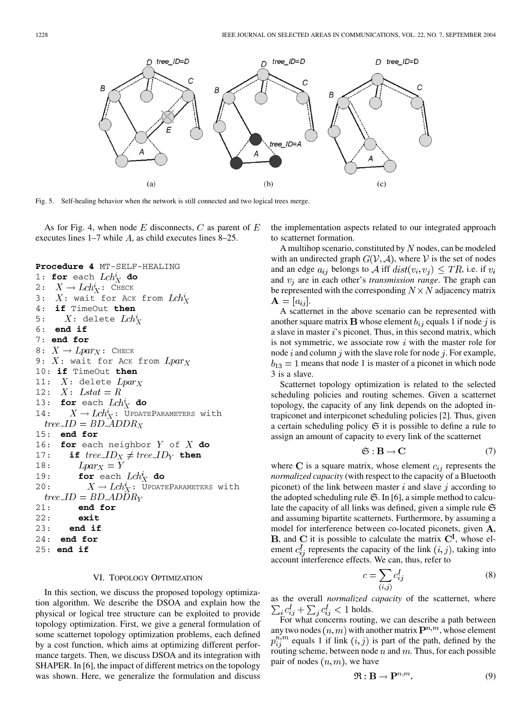

Fig. 5. Self-healing behavior when the network is still connected and two logical trees merge.

As for Fig. 4, when node  $E$  disconnects,  $C$  as parent of  $E$ executes lines  $1-7$  while A, as child executes lines  $8-25$ .

```
Procedure 4 MT-SELF-HEALING
1: for each Lch_X^i do
2: X \to Lch_X^i: Check
3: X: wait for Ack from Lch_X^i4: if TimeOut then
5: X: delete Lch_X^i6: end if
7: end for
8: X \to Lpar_X: CHECK
9: X: wait for Ack from Lpar_X10: if TimeOut then
11: X: delete Lpar_X12: X: Lstat = R
13: for each Lch_X^i do
14: X \to Lch_X^i: UPDATEPARAMETERS with
 tree\_ID = BD\_ADDR_X15: end for
16: for each neighbor Y of X do
17: if tree\_ID_X \neq tree\_ID_Y then
        Lpar_X = Y18:
19: for each Lch_X^i do
20: X \to Lch_X^i: UPDATEPARAMETERS with
 tree\_ID = BD\_ADDR_Y21: end for
22: exit
23: end if
24: end for
25: end if
```
## VI. TOPOLOGY OPTIMIZATION

In this section, we discuss the proposed topology optimization algorithm. We describe the DSOA and explain how the physical or logical tree structure can be exploited to provide topology optimization. First, we give a general formulation of some scatternet topology optimization problems, each defined by a cost function, which aims at optimizing different performance targets. Then, we discuss DSOA and its integration with SHAPER. In [[6\]](#page-15-0), the impact of different metrics on the topology was shown. Here, we generalize the formulation and discuss the implementation aspects related to our integrated approach to scatternet formation.

A multihop scenario, constituted by  $N$  nodes, can be modeled with an undirected graph  $G(V, A)$ , where V is the set of nodes and an edge  $a_{ij}$  belongs to A iff  $dist(v_i, v_j) \leq TR$ , i.e. if  $v_i$ and  $v_i$  are in each other's *transmission range*. The graph can be represented with the corresponding  $N \times N$  adjacency matrix  $\mathbf{A} = |a_{ij}|.$ 

A scatternet in the above scenario can be represented with another square matrix **B** whose element  $b_{ij}$  equals 1 if node j is a slave in master  $i$ 's piconet. Thus, in this second matrix, which is not symmetric, we associate row  $i$  with the master role for node i and column j with the slave role for node j. For example,  $b_{13} = 1$  means that node 1 is master of a piconet in which node 3 is a slave.

Scatternet topology optimization is related to the selected scheduling policies and routing schemes. Given a scatternet topology, the capacity of any link depends on the adopted intrapiconet and interpiconet scheduling policies [[2\]](#page-15-0). Thus, given a certain scheduling policy  $\mathfrak S$  it is possible to define a rule to assign an amount of capacity to every link of the scatternet

$$
\mathfrak{S}: \mathbf{B} \to \mathbf{C} \tag{7}
$$

where C is a square matrix, whose element  $c_{ij}$  represents the *normalized capacity* (with respect to the capacity of a Bluetooth piconet) of the link between master  $i$  and slave  $j$  according to the adopted scheduling rule  $\mathfrak{S}$ . In [[6\]](#page-15-0), a simple method to calculate the capacity of all links was defined, given a simple rule  $\mathfrak S$ and assuming bipartite scatternets. Furthermore, by assuming a model for interference between co-located piconets, given  $A$ , **B**, and **C** it is possible to calculate the matrix  $C<sup>I</sup>$ , whose element  $c_{ij}^l$  represents the capacity of the link  $(i, j)$ , taking into account interference effects. We can, thus, refer to

$$
c = \sum_{(i,j)} c_{ij}^I \tag{8}
$$

as the overall *normalized capacity* of the scatternet, where  $\sum_i c_{ij}^I + \sum_i c_{ij}^I < 1$  holds.

For what concerns routing, we can describe a path between any two nodes  $(n, m)$  with another matrix  $\mathbf{P}^{n,m}$ , whose element  $p_{ij}^{n,m}$  equals 1 if link  $(i, j)$  is part of the path, defined by the routing scheme, between node  $n$  and  $m$ . Thus, for each possible pair of nodes  $(n, m)$ , we have

$$
\mathfrak{R}: \mathbf{B} \to \mathbf{P}^{n,m}.\tag{9}
$$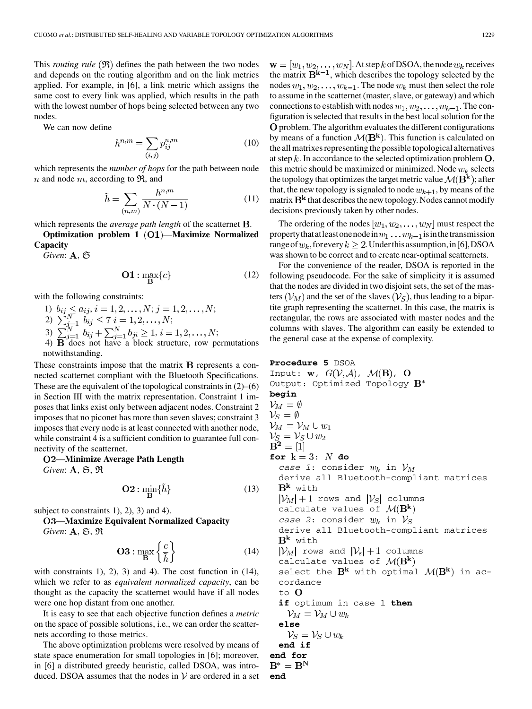This *routing rule*  $(\Re)$  defines the path between the two nodes and depends on the routing algorithm and on the link metrics applied. For example, in [[6\]](#page-15-0), a link metric which assigns the same cost to every link was applied, which results in the path with the lowest number of hops being selected between any two nodes.

We can now define

$$
h^{n,m} = \sum_{(i,j)} p_{ij}^{n,m} \tag{10}
$$

which represents the *number of hops* for the path between node n and node m, according to  $\mathfrak{R}$ , and

$$
\tilde{h} = \sum_{(n,m)} \frac{h^{n,m}}{N \cdot (N-1)}\tag{11}
$$

which represents the *average* path length of the scatternet **B**.

**Optimization problem 1 (O1)—Maximize Normalized Capacity**

 $Given: A, \mathfrak{S}$ 

$$
\mathbf{O1} : \max_{\mathbf{B}} \{c\} \tag{12}
$$

with the following constraints:

1) 
$$
b_{ij} \leq a_{ij}, i = 1, 2, ..., N; j = 1, 2, ..., N;
$$

2)  $\sum_{i=1}^{N} b_{ij} \leq 7$   $i = 1, 2, ..., N;$ 

3)  $\sum_{i=1}^{N} b_{ij} + \sum_{i=1}^{N} b_{ji} \ge 1, i = 1, 2, ..., N;$ 

4)  $\bf{B}$  does not have a block structure, row permutations notwithstanding.

These constraints impose that the matrix  $\bf{B}$  represents a connected scatternet compliant with the Bluetooth Specifications. These are the equivalent of the topological constraints in  $(2)$ – $(6)$ in Section III with the matrix representation. Constraint 1 imposes that links exist only between adjacent nodes. Constraint 2 imposes that no piconet has more than seven slaves; constraint 3 imposes that every node is at least connected with another node, while constraint 4 is a sufficient condition to guarantee full connectivity of the scatternet.

—**Minimize Average Path Length** *Given*:  $A$ ,  $\mathfrak{S}$ ,  $\mathfrak{R}$ 

$$
\mathbf{O2} : \min_{\mathbf{B}} \{ \tilde{h} \} \tag{13}
$$

subject to constraints 1), 2), 3) and 4).

—**Maximize Equivalent Normalized Capacity** *Given*: **A**,  $\mathfrak{S}, \mathfrak{R}$ 

$$
\mathbf{O3} : \max_{\mathbf{B}} \left\{ \frac{c}{\tilde{h}} \right\} \tag{14}
$$

with constraints 1), 2), 3) and 4). The cost function in  $(14)$ , which we refer to as *equivalent normalized capacity*, can be thought as the capacity the scatternet would have if all nodes were one hop distant from one another.

It is easy to see that each objective function defines a *metric* on the space of possible solutions, i.e., we can order the scatternets according to those metrics.

The above optimization problems were resolved by means of state space enumeration for small topologies in [\[6](#page-15-0)]; moreover, in [[6\]](#page-15-0) a distributed greedy heuristic, called DSOA, was introduced. DSOA assumes that the nodes in  $V$  are ordered in a set  $\mathbf{w} = [w_1, w_2, \dots, w_N]$ . At step k of DSOA, the node  $w_k$  receives the matrix  $\overline{B}^{k-1}$ , which describes the topology selected by the nodes  $w_1, w_2, \ldots, w_{k-1}$ . The node  $w_k$  must then select the role to assume in the scatternet (master, slave, or gateway) and which connections to establish with nodes  $w_1, w_2, \dots, w_{k-1}$ . The configuration is selected that results in the best local solution for the problem. The algorithm evaluates the different configurations by means of a function  $\mathcal{M}(\mathbf{B}^k)$ . This function is calculated on the all matrixes representing the possible topological alternatives at step  $k$ . In accordance to the selected optimization problem  $O$ , this metric should be maximized or minimized. Node  $w_k$  selects the topology that optimizes the target metric value  $\mathcal{M}(\mathbf{B}^{\mathbf{k}})$ ; after that, the new topology is signaled to node  $w_{k+1}$ , by means of the matrix  $B^k$  that describes the new topology. Nodes cannot modify decisions previously taken by other nodes.

The ordering of the nodes  $[w_1, w_2, \dots, w_N]$  must respect the property that at least one node in  $w_1 \dots w_{k-1}$  is in the transmission range of  $w_k$ , for every  $k \geq 2$ . Under this assumption, in [[6\]](#page-15-0), DSOA was shown to be correct and to create near-optimal scatternets.

For the convenience of the reader, DSOA is reported in the following pseudocode. For the sake of simplicity it is assumed that the nodes are divided in two disjoint sets, the set of the masters  $(\mathcal{V}_M)$  and the set of the slaves  $(\mathcal{V}_S)$ , thus leading to a bipartite graph representing the scatternet. In this case, the matrix is rectangular, the rows are associated with master nodes and the columns with slaves. The algorithm can easily be extended to the general case at the expense of complexity.

**Proceedure 5** DSOA  
\nInput: w, 
$$
G(V, \mathcal{A})
$$
,  $\mathcal{M}(B)$ , O  
\nOutput: Optimized Topology  $B^*$   
\nbegin  
\n**begin**  
\n $V_M = \emptyset$   
\n $V_M = V_M \cup w_1$   
\n $V_S = V_S \cup w_2$   
\n $B^2 = [1]$   
\n**for** k = 3: N **do**  
\n $case 1$ : consider  $w_k$  in  $V_M$   
\ndenive all Bluetooth-compliant matrices  
\n $B^k$  with  
\n $|V_M| + 1$  rows and  $|V_S|$  columns  
\ncalculated values of  $\mathcal{M}(B^k)$   
\n $case 2$ : consider  $w_k$  in  $V_S$   
\nderive all Bluetooth-compliant matrices  
\n $B^k$  with  
\n $|V_M|$  rows and  $|V_s| + 1$  columns  
\ncalculated values of  $\mathcal{M}(B^k)$   
\nselect the  $B^k$  with optimal  $\mathcal{M}(B^k)$  in ac-  
\ncordance  
\nto O  
\n**if** optimum in case 1 **then**  
\n $V_M = V_M \cup w_k$   
\n**else**  
\n $V_S = V_S \cup w_k$   
\n**end if**  
\n**end for**  
\n $B^* = B^N$   
\n**end**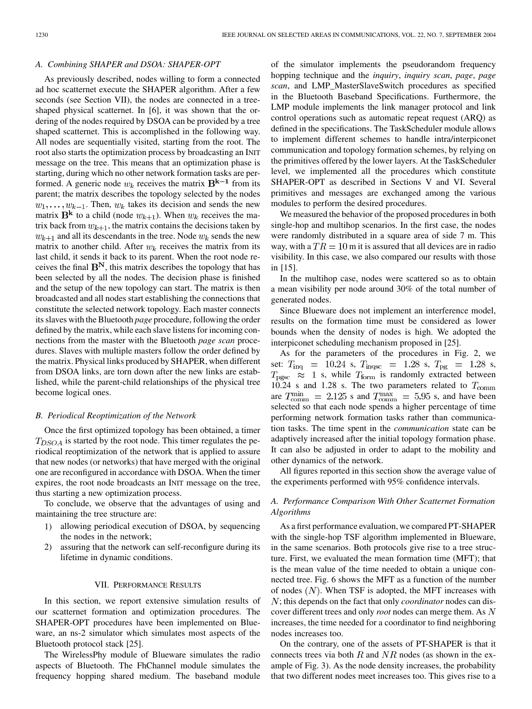## *A. Combining SHAPER and DSOA: SHAPER-OPT*

As previously described, nodes willing to form a connected ad hoc scatternet execute the SHAPER algorithm. After a few seconds (see Section VII), the nodes are connected in a treeshaped physical scatternet. In [[6](#page-15-0)], it was shown that the ordering of the nodes required by DSOA can be provided by a tree shaped scatternet. This is accomplished in the following way. All nodes are sequentially visited, starting from the root. The root also starts the optimization process by broadcasting an INIT message on the tree. This means that an optimization phase is starting, during which no other network formation tasks are performed. A generic node  $w_k$  receives the matrix  $\mathbf{B^{k-1}}$  from its parent; the matrix describes the topology selected by the nodes  $w_1, \ldots, w_{k-1}$ . Then,  $w_k$  takes its decision and sends the new matrix  $\mathbf{B}^{\mathbf{k}}$  to a child (node  $w_{k+1}$ ). When  $w_k$  receives the matrix back from  $w_{k+1}$ , the matrix contains the decisions taken by  $w_{k+1}$  and all its descendants in the tree. Node  $w_k$  sends the new matrix to another child. After  $w_k$  receives the matrix from its last child, it sends it back to its parent. When the root node receives the final  $\mathbf{B}^{N}$ , this matrix describes the topology that has been selected by all the nodes. The decision phase is finished and the setup of the new topology can start. The matrix is then broadcasted and all nodes start establishing the connections that constitute the selected network topology. Each master connects its slaves with the Bluetooth *page* procedure, following the order defined by the matrix, while each slave listens for incoming connections from the master with the Bluetooth *page scan* procedures. Slaves with multiple masters follow the order defined by the matrix. Physical links produced by SHAPER, when different from DSOA links, are torn down after the new links are established, while the parent-child relationships of the physical tree become logical ones.

#### *B. Periodical Reoptimization of the Network*

Once the first optimized topology has been obtained, a timer  $T_{DSOA}$  is started by the root node. This timer regulates the periodical reoptimization of the network that is applied to assure that new nodes (or networks) that have merged with the original one are reconfigured in accordance with DSOA. When the timer expires, the root node broadcasts an INIT message on the tree, thus starting a new optimization process.

To conclude, we observe that the advantages of using and maintaining the tree structure are:

- 1) allowing periodical execution of DSOA, by sequencing the nodes in the network;
- 2) assuring that the network can self-reconfigure during its lifetime in dynamic conditions.

## VII. PERFORMANCE RESULTS

In this section, we report extensive simulation results of our scatternet formation and optimization procedures. The SHAPER-OPT procedures have been implemented on Blueware, an ns-2 simulator which simulates most aspects of the Bluetooth protocol stack [\[25](#page-16-0)].

The WirelessPhy module of Blueware simulates the radio aspects of Bluetooth. The FhChannel module simulates the frequency hopping shared medium. The baseband module

of the simulator implements the pseudorandom frequency hopping technique and the *inquiry*, *inquiry scan*, *page*, *page scan*, and LMP\_MasterSlaveSwitch procedures as specified in the Bluetooth Baseband Specifications. Furthermore, the LMP module implements the link manager protocol and link control operations such as automatic repeat request (ARQ) as defined in the specifications. The TaskScheduler module allows to implement different schemes to handle intra/interpiconet communication and topology formation schemes, by relying on the primitives offered by the lower layers. At the TaskScheduler level, we implemented all the procedures which constitute SHAPER-OPT as described in Sections V and VI. Several primitives and messages are exchanged among the various modules to perform the desired procedures.

We measured the behavior of the proposed procedures in both single-hop and multihop scenarios. In the first case, the nodes were randomly distributed in a square area of side 7 m. This way, with a  $TR = 10$  m it is assured that all devices are in radio visibility. In this case, we also compared our results with those in [[15\]](#page-15-0).

In the multihop case, nodes were scattered so as to obtain a mean visibility per node around 30% of the total number of generated nodes.

Since Blueware does not implement an interference model, results on the formation time must be considered as lower bounds when the density of nodes is high. We adopted the interpiconet scheduling mechanism proposed in [\[25](#page-16-0)].

As for the parameters of the procedures in Fig. 2, we set:  $T_{\text{inq}}$  = 10.24 s,  $T_{\text{image}}$  = 1.28 s,  $T_{\text{pg}}$  = 1.28 s,  $T_{\text{pgsc}} \approx 1$  s, while  $T_{\text{form}}$  is randomly extracted between 10.24 s and 1.28 s. The two parameters related to  $T_{\text{comm}}$ are  $T_{\text{comm}}$  = 2.125 s and  $T_{\text{comm}}$  = 5.95 s, and have been selected so that each node spends a higher percentage of time performing network formation tasks rather than communication tasks. The time spent in the *communication* state can be adaptively increased after the initial topology formation phase. It can also be adjusted in order to adapt to the mobility and other dynamics of the network.

All figures reported in this section show the average value of the experiments performed with 95% confidence intervals.

# *A. Performance Comparison With Other Scatternet Formation Algorithms*

As a first performance evaluation, we compared PT-SHAPER with the single-hop TSF algorithm implemented in Blueware, in the same scenarios. Both protocols give rise to a tree structure. First, we evaluated the mean formation time (MFT); that is the mean value of the time needed to obtain a unique connected tree. Fig. 6 shows the MFT as a function of the number of nodes  $(N)$ . When TSF is adopted, the MFT increases with ; this depends on the fact that only *coordinator* nodes can discover different trees and only *root* nodes can merge them. As increases, the time needed for a coordinator to find neighboring nodes increases too.

On the contrary, one of the assets of PT-SHAPER is that it connects trees via both  $R$  and  $NR$  nodes (as shown in the example of Fig. 3). As the node density increases, the probability that two different nodes meet increases too. This gives rise to a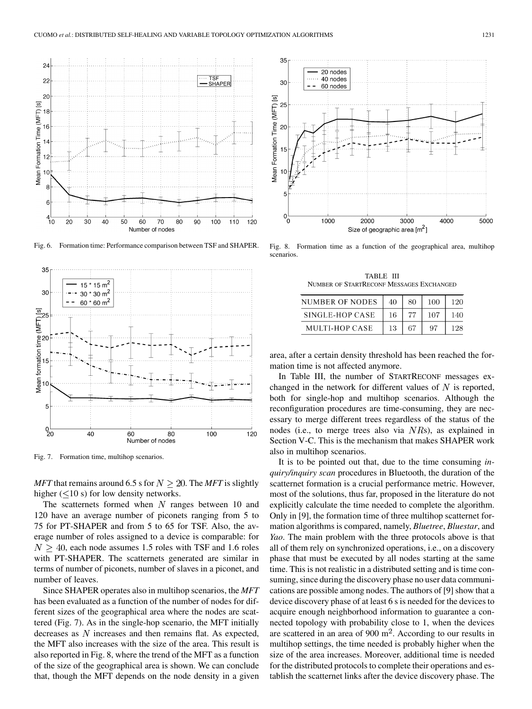

Fig. 6. Formation time: Performance comparison between TSF and SHAPER.



Fig. 7. Formation time, multihop scenarios.

*MFT* that remains around 6.5 s for  $N \ge 20$ . The *MFT* is slightly higher  $(< 10 s$ ) for low density networks.

The scatternets formed when  $N$  ranges between 10 and 120 have an average number of piconets ranging from 5 to 75 for PT-SHAPER and from 5 to 65 for TSF. Also, the average number of roles assigned to a device is comparable: for  $N > 40$ , each node assumes 1.5 roles with TSF and 1.6 roles with PT-SHAPER. The scatternets generated are similar in terms of number of piconets, number of slaves in a piconet, and number of leaves.

Since SHAPER operates also in multihop scenarios, the *MFT* has been evaluated as a function of the number of nodes for different sizes of the geographical area where the nodes are scattered (Fig. 7). As in the single-hop scenario, the MFT initially decreases as  $N$  increases and then remains flat. As expected, the MFT also increases with the size of the area. This result is also reported in Fig. 8, where the trend of the MFT as a function of the size of the geographical area is shown. We can conclude that, though the MFT depends on the node density in a given



Fig. 8. Formation time as a function of the geographical area, multihop scenarios.

TABLE III NUMBER OF STARTRECONF MESSAGES EXCHANGED

| NUMBER OF NODES | 40 | 80 | 100 | 120 |
|-----------------|----|----|-----|-----|
| SINGLE-HOP CASE | 16 |    | 107 |     |
| MULTI-HOP CASE  | 13 | 67 |     | 198 |

area, after a certain density threshold has been reached the formation time is not affected anymore.

In Table III, the number of STARTRECONF messages exchanged in the network for different values of  $N$  is reported, both for single-hop and multihop scenarios. Although the reconfiguration procedures are time-consuming, they are necessary to merge different trees regardless of the status of the nodes (i.e., to merge trees also via  $NRs$ ), as explained in Section V-C. This is the mechanism that makes SHAPER work also in multihop scenarios.

It is to be pointed out that, due to the time consuming *inquiry/inquiry scan* procedures in Bluetooth, the duration of the scatternet formation is a crucial performance metric. However, most of the solutions, thus far, proposed in the literature do not explicitly calculate the time needed to complete the algorithm. Only in [[9\]](#page-15-0), the formation time of three multihop scatternet formation algorithms is compared, namely, *Bluetree*, *Bluestar*, and *Yao*. The main problem with the three protocols above is that all of them rely on synchronized operations, i.e., on a discovery phase that must be executed by all nodes starting at the same time. This is not realistic in a distributed setting and is time consuming, since during the discovery phase no user data communications are possible among nodes. The authors of [\[9](#page-15-0)] show that a device discovery phase of at least 6 s is needed for the devices to acquire enough neighborhood information to guarantee a connected topology with probability close to 1, when the devices are scattered in an area of 900  $m<sup>2</sup>$ . According to our results in multihop settings, the time needed is probably higher when the size of the area increases. Moreover, additional time is needed for the distributed protocols to complete their operations and establish the scatternet links after the device discovery phase. The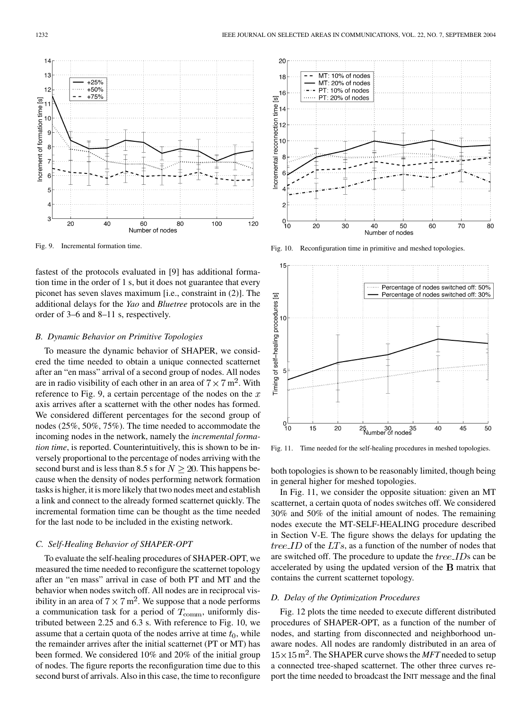MT: 10% of nodes

MT: 20% of nodes

PT: 10% of nodes

PT: 20% of nodes

20

18

 $\frac{16}{\omega}$ <sup>16</sup>

 $\frac{1}{2}$ 14

 $12$ 

 $1<sup>c</sup>$ 8

 $\overline{c}$ 

 $^{0-}_{10}$ 

20

Incremental reconnection

Fig. 9. Incremental formation time.

fastest of the protocols evaluated in [[9\]](#page-15-0) has additional formation time in the order of 1 s, but it does not guarantee that every piconet has seven slaves maximum [i.e., constraint in (2)]. The additional delays for the *Yao* and *Bluetree* protocols are in the order of 3–6 and 8–11 s, respectively.

#### *B. Dynamic Behavior on Primitive Topologies*

To measure the dynamic behavior of SHAPER, we considered the time needed to obtain a unique connected scatternet after an "en mass" arrival of a second group of nodes. All nodes are in radio visibility of each other in an area of  $7 \times 7$  m<sup>2</sup>. With reference to Fig. 9, a certain percentage of the nodes on the  $x$ axis arrives after a scatternet with the other nodes has formed. We considered different percentages for the second group of nodes (25%, 50%, 75%). The time needed to accommodate the incoming nodes in the network, namely the *incremental formation time*, is reported. Counterintuitively, this is shown to be inversely proportional to the percentage of nodes arriving with the second burst and is less than 8.5 s for  $N \ge 20$ . This happens because when the density of nodes performing network formation tasks is higher, it is more likely that two nodes meet and establish a link and connect to the already formed scatternet quickly. The incremental formation time can be thought as the time needed for the last node to be included in the existing network.

## *C. Self-Healing Behavior of SHAPER-OPT*

To evaluate the self-healing procedures of SHAPER-OPT, we measured the time needed to reconfigure the scatternet topology after an "en mass" arrival in case of both PT and MT and the behavior when nodes switch off. All nodes are in reciprocal visibility in an area of  $7 \times 7$  m<sup>2</sup>. We suppose that a node performs a communication task for a period of  $T_{\text{comm}}$ , uniformly distributed between 2.25 and 6.3 s. With reference to Fig. 10, we assume that a certain quota of the nodes arrive at time  $t_0$ , while the remainder arrives after the initial scatternet (PT or MT) has been formed. We considered 10% and 20% of the initial group of nodes. The figure reports the reconfiguration time due to this second burst of arrivals. Also in this case, the time to reconfigure

Fig. 10. Reconfiguration time in primitive and meshed topologies.

40

50

Number of nodes

60

70

80

30



Fig. 11. Time needed for the self-healing procedures in meshed topologies.

both topologies is shown to be reasonably limited, though being in general higher for meshed topologies.

In Fig. 11, we consider the opposite situation: given an MT scatternet, a certain quota of nodes switches off. We considered 30% and 50% of the initial amount of nodes. The remaining nodes execute the MT-SELF-HEALING procedure described in Section V-E. The figure shows the delays for updating the  $tree\_ID$  of the  $LTs$ , as a function of the number of nodes that are switched off. The procedure to update the  $tree\_IDs$  can be accelerated by using the updated version of the  $B$  matrix that contains the current scatternet topology.

#### *D. Delay of the Optimization Procedures*

Fig. 12 plots the time needed to execute different distributed procedures of SHAPER-OPT, as a function of the number of nodes, and starting from disconnected and neighborhood unaware nodes. All nodes are randomly distributed in an area of  $15 \times 15$  m<sup>2</sup>. The SHAPER curve shows the *MFT* needed to setup a connected tree-shaped scatternet. The other three curves report the time needed to broadcast the INIT message and the final

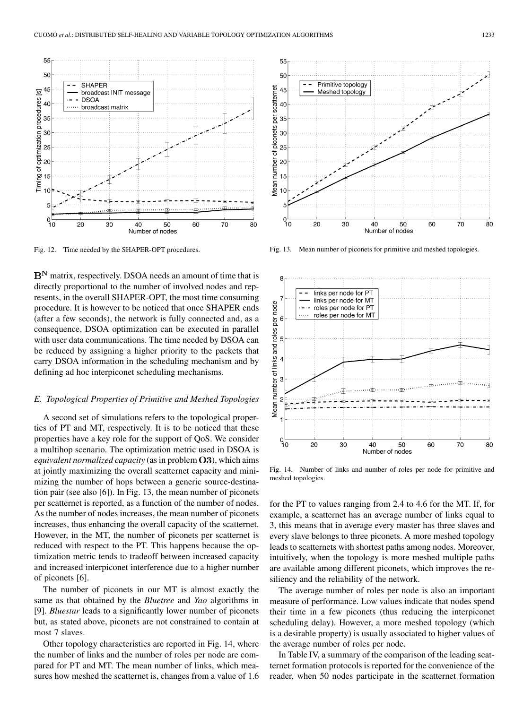

Fig. 12. Time needed by the SHAPER-OPT procedures.

 $B<sup>N</sup>$  matrix, respectively. DSOA needs an amount of time that is directly proportional to the number of involved nodes and represents, in the overall SHAPER-OPT, the most time consuming procedure. It is however to be noticed that once SHAPER ends (after a few seconds), the network is fully connected and, as a consequence, DSOA optimization can be executed in parallel with user data communications. The time needed by DSOA can be reduced by assigning a higher priority to the packets that carry DSOA information in the scheduling mechanism and by defining ad hoc interpiconet scheduling mechanisms.

# *E. Topological Properties of Primitive and Meshed Topologies*

A second set of simulations refers to the topological properties of PT and MT, respectively. It is to be noticed that these properties have a key role for the support of QoS. We consider a multihop scenario. The optimization metric used in DSOA is *equivalent normalized capacity* (as in problem  $O3$ ), which aims at jointly maximizing the overall scatternet capacity and minimizing the number of hops between a generic source-destination pair (see also [[6\]](#page-15-0)). In Fig. 13, the mean number of piconets per scatternet is reported, as a function of the number of nodes. As the number of nodes increases, the mean number of piconets increases, thus enhancing the overall capacity of the scatternet. However, in the MT, the number of piconets per scatternet is reduced with respect to the PT. This happens because the optimization metric tends to tradeoff between increased capacity and increased interpiconet interference due to a higher number of piconets [[6\]](#page-15-0).

The number of piconets in our MT is almost exactly the same as that obtained by the *Bluetree* and *Yao* algorithms in [\[9](#page-15-0)]. *Bluestar* leads to a significantly lower number of piconets but, as stated above, piconets are not constrained to contain at most 7 slaves.

Other topology characteristics are reported in Fig. 14, where the number of links and the number of roles per node are compared for PT and MT. The mean number of links, which measures how meshed the scatternet is, changes from a value of 1.6



Fig. 13. Mean number of piconets for primitive and meshed topologies.



Fig. 14. Number of links and number of roles per node for primitive and meshed topologies.

for the PT to values ranging from 2.4 to 4.6 for the MT. If, for example, a scatternet has an average number of links equal to 3, this means that in average every master has three slaves and every slave belongs to three piconets. A more meshed topology leads to scatternets with shortest paths among nodes. Moreover, intuitively, when the topology is more meshed multiple paths are available among different piconets, which improves the resiliency and the reliability of the network.

The average number of roles per node is also an important measure of performance. Low values indicate that nodes spend their time in a few piconets (thus reducing the interpiconet scheduling delay). However, a more meshed topology (which is a desirable property) is usually associated to higher values of the average number of roles per node.

In Table IV, a summary of the comparison of the leading scatternet formation protocols is reported for the convenience of the reader, when 50 nodes participate in the scatternet formation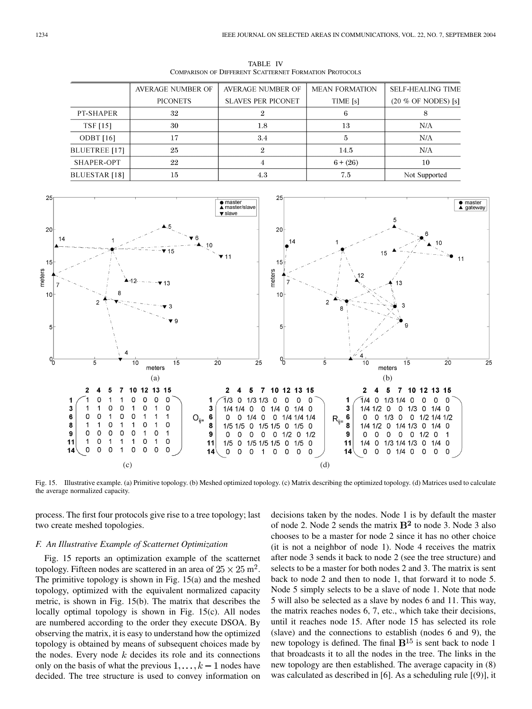TABLE IV COMPARISON OF DIFFERENT SCATTERNET FORMATION PROTOCOLS

|                 | <b>AVERAGE NUMBER OF</b> | <b>AVERAGE NUMBER OF</b>  | <b>MEAN FORMATION</b> | <b>SELF-HEALING TIME</b> |
|-----------------|--------------------------|---------------------------|-----------------------|--------------------------|
|                 | <b>PICONETS</b>          | <b>SLAVES PER PICONET</b> | TIME [s]              | (20 % OF NODES) [s]      |
| PT-SHAPER       | 32                       |                           | 6                     |                          |
| <b>TSF</b> [15] | 30                       | 1.8                       | 13                    | N/A                      |
| ODBT $[16]$     | 17                       | 3.4                       | 5                     | N/A                      |
| BLUETREE [17]   | 25                       | 9.                        | 14.5                  | N/A                      |
| SHAPER-OPT      | 22                       |                           | $6 + (26)$            | 10                       |
| BLUESTAR [18]   | 15                       | 4.3                       | 7.5                   | Not Supported            |



Fig. 15. Illustrative example. (a) Primitive topology. (b) Meshed optimized topology. (c) Matrix describing the optimized topology. (d) Matrices used to calculate the average normalized capacity.

process. The first four protocols give rise to a tree topology; last two create meshed topologies.

## *F. An Illustrative Example of Scatternet Optimization*

Fig. 15 reports an optimization example of the scatternet topology. Fifteen nodes are scattered in an area of  $25 \times 25$  m<sup>2</sup>. The primitive topology is shown in Fig. 15(a) and the meshed topology, optimized with the equivalent normalized capacity metric, is shown in Fig. 15(b). The matrix that describes the locally optimal topology is shown in Fig. 15(c). All nodes are numbered according to the order they execute DSOA. By observing the matrix, it is easy to understand how the optimized topology is obtained by means of subsequent choices made by the nodes. Every node  $k$  decides its role and its connections only on the basis of what the previous  $1, \ldots, k-1$  nodes have decided. The tree structure is used to convey information on decisions taken by the nodes. Node 1 is by default the master of node 2. Node 2 sends the matrix  $B<sup>2</sup>$  to node 3. Node 3 also chooses to be a master for node 2 since it has no other choice (it is not a neighbor of node 1). Node 4 receives the matrix after node 3 sends it back to node 2 (see the tree structure) and selects to be a master for both nodes 2 and 3. The matrix is sent back to node 2 and then to node 1, that forward it to node 5. Node 5 simply selects to be a slave of node 1. Note that node 5 will also be selected as a slave by nodes 6 and 11. This way, the matrix reaches nodes 6, 7, etc., which take their decisions, until it reaches node 15. After node 15 has selected its role (slave) and the connections to establish (nodes 6 and 9), the new topology is defined. The final  $B^{15}$  is sent back to node 1 that broadcasts it to all the nodes in the tree. The links in the new topology are then established. The average capacity in (8) was calculated as described in [[6\]](#page-15-0). As a scheduling rule [(9)], it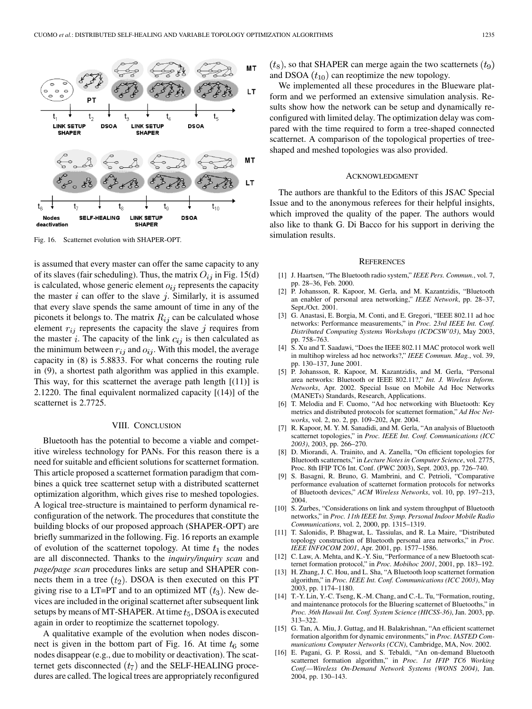<span id="page-15-0"></span>

Fig. 16. Scatternet evolution with SHAPER-OPT.

is assumed that every master can offer the same capacity to any of its slaves (fair scheduling). Thus, the matrix  $O_{ij}$  in Fig. 15(d) is calculated, whose generic element  $o_{ij}$  represents the capacity the master  $i$  can offer to the slave  $j$ . Similarly, it is assumed that every slave spends the same amount of time in any of the piconets it belongs to. The matrix  $R_{ij}$  can be calculated whose element  $r_{ij}$  represents the capacity the slave j requires from the master i. The capacity of the link  $c_{ij}$  is then calculated as the minimum between  $r_{ij}$  and  $o_{ij}$ . With this model, the average capacity in (8) is 5.8833. For what concerns the routing rule in (9), a shortest path algorithm was applied in this example. This way, for this scatternet the average path length  $[(11)]$  is 2.1220. The final equivalent normalized capacity [(14)] of the scatternet is 2.7725.

#### VIII. CONCLUSION

Bluetooth has the potential to become a viable and competitive wireless technology for PANs. For this reason there is a need for suitable and efficient solutions for scatternet formation. This article proposed a scatternet formation paradigm that combines a quick tree scatternet setup with a distributed scatternet optimization algorithm, which gives rise to meshed topologies. A logical tree-structure is maintained to perform dynamical reconfiguration of the network. The procedures that constitute the building blocks of our proposed approach (SHAPER-OPT) are briefly summarized in the following. Fig. 16 reports an example of evolution of the scatternet topology. At time  $t_1$  the nodes are all disconnected. Thanks to the *inquiry/inquiry scan* and *page/page scan* procedures links are setup and SHAPER connects them in a tree  $(t_2)$ . DSOA is then executed on this PT giving rise to a LT=PT and to an optimized MT  $(t_3)$ . New devices are included in the original scatternet after subsequent link setups by means of MT-SHAPER. At time  $t_5$ , DSOA is executed again in order to reoptimize the scatternet topology.

A qualitative example of the evolution when nodes disconnect is given in the bottom part of Fig. 16. At time  $t_6$  some nodes disappear (e.g., due to mobility or deactivation). The scatternet gets disconnected  $(t_7)$  and the SELF-HEALING procedures are called. The logical trees are appropriately reconfigured  $(t<sub>8</sub>)$ , so that SHAPER can merge again the two scatternets  $(t<sub>9</sub>)$ and DSOA  $(t_{10})$  can reoptimize the new topology.

We implemented all these procedures in the Blueware platform and we performed an extensive simulation analysis. Results show how the network can be setup and dynamically reconfigured with limited delay. The optimization delay was compared with the time required to form a tree-shaped connected scatternet. A comparison of the topological properties of treeshaped and meshed topologies was also provided.

#### ACKNOWLEDGMENT

The authors are thankful to the Editors of this JSAC Special Issue and to the anonymous referees for their helpful insights, which improved the quality of the paper. The authors would also like to thank G. Di Bacco for his support in deriving the simulation results.

#### **REFERENCES**

- [1] J. Haartsen, "The Bluetooth radio system," *IEEE Pers. Commun.*, vol. 7, pp. 28–36, Feb. 2000.
- [2] P. Johansson, R. Kapoor, M. Gerla, and M. Kazantzidis, "Bluetooth an enabler of personal area networking," *IEEE Network*, pp. 28–37, Sept./Oct. 2001.
- [3] G. Anastasi, E. Borgia, M. Conti, and E. Gregori, "IEEE 802.11 ad hoc networks: Performance measurements," in *Proc. 23rd IEEE Int. Conf. Distributed Computing Systems Workshops (ICDCSW'03)*, May 2003, pp. 758–763.
- [4] S. Xu and T. Saadawi, "Does the IEEE 802.11 MAC protocol work well in multihop wireless ad hoc networks?," *IEEE Commun. Mag.*, vol. 39, pp. 130–137, June 2001.
- [5] P. Johansson, R. Kapoor, M. Kazantzidis, and M. Gerla, "Personal area networks: Bluetooth or IEEE 802.11?," *Int. J. Wireless Inform. Networks*, Apr. 2002. Special Issue on Mobile Ad Hoc Networks (MANETs) Standards, Research, Applications.
- [6] T. Melodia and F. Cuomo, "Ad hoc networking with Bluetooth: Key metrics and distributed protocols for scatternet formation," *Ad Hoc Networks*, vol. 2, no. 2, pp. 109–202, Apr. 2004.
- [7] R. Kapoor, M. Y. M. Sanadidi, and M. Gerla, "An analysis of Bluetooth scatternet topologies," in *Proc. IEEE Int. Conf. Communications (ICC 2003)*, 2003, pp. 266–270.
- [8] D. Miorandi, A. Trainito, and A. Zanella, "On efficient topologies for Bluetooth scatternets," in *Lecture Notes in Computer Science*, vol. 2775, Proc. 8th IFIP TC6 Int. Conf. (PWC 2003), Sept. 2003, pp. 726–740.
- [9] S. Basagni, R. Bruno, G. Mambrini, and C. Petrioli, "Comparative performance evaluation of scatternet formation protocols for networks of Bluetooth devices," *ACM Wireless Networks*, vol. 10, pp. 197–213, 2004.
- [10] S. Zurbes, "Considerations on link and system throughput of Bluetooth networks," in *Proc. 11th IEEE Int. Symp. Personal Indoor Mobile Radio Communications*, vol. 2, 2000, pp. 1315–1319.
- [11] T. Salonidis, P. Bhagwat, L. Tassiulas, and R. La Maire, "Distributed topology construction of Bluetooth personal area networks," in *Proc. IEEE INFOCOM 2001*, Apr. 2001, pp. 1577–1586.
- [12] C. Law, A. Mehta, and K.-Y. Siu, "Performance of a new Bluetooth scatternet formation protocol," in *Proc. Mobihoc 2001*, 2001, pp. 183–192.
- [13] H. Zhang, J. C. Hou, and L. Sha, "A Bluetooth loop scatternet formation algorithm," in *Proc. IEEE Int. Conf. Communications (ICC 2003)*, May 2003, pp. 1174–1180.
- [14] T.-Y. Lin, Y.-C. Tseng, K.-M. Chang, and C.-L. Tu, "Formation, routing, and maintenance protocols for the Bluering scatternet of Bluetooths," in *Proc. 36th Hawaii Int. Conf. System Science (HICSS-36)*, Jan. 2003, pp. 313–322.
- [15] G. Tan, A. Miu, J. Guttag, and H. Balakrishnan, "An efficient scatternet formation algorithm for dynamic environments," in *Proc. IASTED Communications Computer Networks (CCN)*, Cambridge, MA, Nov. 2002.
- [16] E. Pagani, G. P. Rossi, and S. Tebaldi, "An on-demand Bluetooth scatternet formation algorithm," in *Proc. 1st IFIP TC6 Working Conf.—Wireless On-Demand Network Systems (WONS 2004)*, Jan. 2004, pp. 130–143.